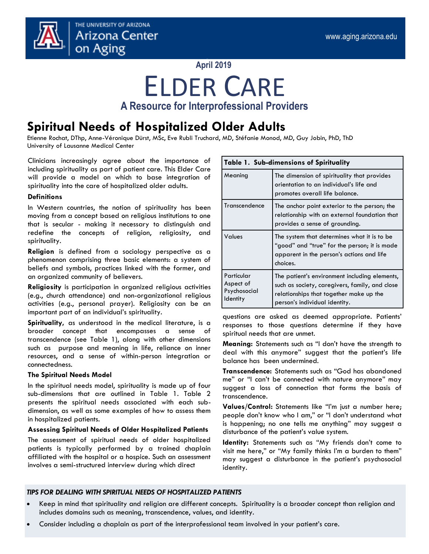

#### **April 2019**

## ELDER CARE **A Resource for Interprofessional Providers**

### **Spiritual Needs of Hospitalized Older Adults**

Etienne Rochat, DThp, Anne-Véronique Dürst, MSc, Eve Rubli Truchard, MD, Stéfanie Monod, MD, Guy Jobin, PhD, ThD University of Lausanne Medical Center

Clinicians increasingly agree about the importance of including spirituality as part of patient care. This Elder Care will provide a model on which to base integration of spirituality into the care of hospitalized older adults.

#### **Definitions**

In Western countries, the notion of spirituality has been moving from a concept based on religious institutions to one that is secular - making it necessary to distinguish and redefine the concepts of religion, religiosity, and spirituality.

**Religion** is defined from a sociology perspective as a phenomenon comprising three basic elements: a system of beliefs and symbols, practices linked with the former, and an organized community of believers.

**Religiosity** is participation in organized religious activities (e.g., church attendance) and non-organizational religious activities (e.g., personal prayer). Religiosity can be an important part of an individual's spirituality.

**Spirituality,** as understood in the medical literature, is a broader concept that encompasses a sense of transcendence (see Table 1), along with other dimensions such as purpose and meaning in life, reliance on inner resources, and a sense of within-person integration or connectedness.

#### **The Spiritual Needs Model**

In the spiritual needs model, spirituality is made up of four sub-dimensions that are outlined in Table 1. Table 2 presents the spiritual needs associated with each subdimension, as well as some examples of how to assess them in hospitalized patients.

#### **Assessing Spiritual Needs of Older Hospitalized Patients**

The assessment of spiritual needs of older hospitalized patients is typically performed by a trained chaplain affiliated with the hospital or a hospice. Such an assessment involves a semi-structured interview during which direct

| <b>Table 1. Sub-dimensions of Spirituality</b>             |                                                                                                                                                                             |  |
|------------------------------------------------------------|-----------------------------------------------------------------------------------------------------------------------------------------------------------------------------|--|
| Meaning                                                    | The dimension of spirituality that provides<br>orientation to an individual's life and<br>promotes overall life balance.                                                    |  |
| Transcendence                                              | The anchor point exterior to the person; the<br>relationship with an external foundation that<br>provides a sense of grounding.                                             |  |
| Values                                                     | The system that determines what it is to be<br>"good" and "true" for the person; it is made<br>apparent in the person's actions and life<br>choices.                        |  |
| Particular<br>Aspect of<br>Psychosocial<br><b>Identity</b> | The patient's environment including elements,<br>such as society, caregivers, family, and close<br>relationships that together make up the<br>person's individual identity. |  |

questions are asked as deemed appropriate. Patients' responses to those questions determine if they have spiritual needs that are unmet.

**Meaning:** Statements such as "I don't have the strength to deal with this anymore" suggest that the patient's life balance has been undermined.

**Transcendence:** Statements such as "God has abandoned me" or "I can't be connected with nature anymore" may suggest a loss of connection that forms the basis of transcendence.

**Values/Control:** Statements like "I'm just a number here; people don't know who I am," or "I don't understand what is happening; no one tells me anything" may suggest a disturbance of the patient's value system.

**Identity:** Statements such as "My friends don't come to visit me here," or "My family thinks I'm a burden to them" may suggest a disturbance in the patient's psychosocial identity.

#### *TIPS FOR DEALING WITH SPIRITUAL NEEDS OF HOSPITALIZED PATIENTS*

- Keep in mind that spirituality and religion are different concepts. Spirituality is a broader concept than religion and includes domains such as meaning, transcendence, values, and identity.
- Consider including a chaplain as part of the interprofessional team involved in your patient's care.